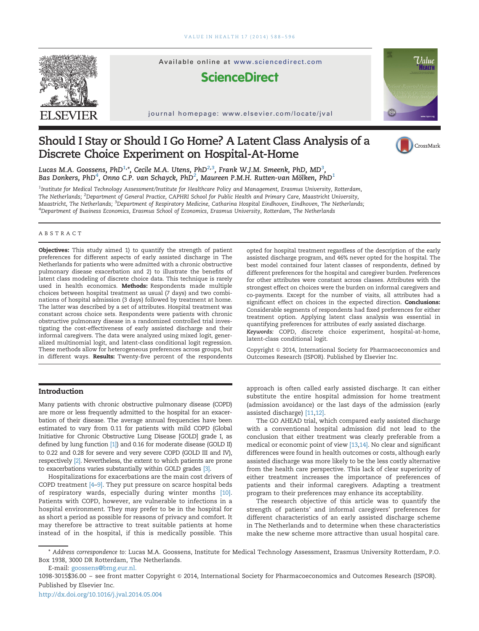

# Should I Stay or Should I Go Home? A Latent Class Analysis of a Discrete Choice Experiment on Hospital-At-Home



Lucas M.A. Goossens. PhD $^{1,*}$ . Cecile M.A. Utens. PhD $^{2,3}$ . Frank W.I.M. Smeenk. PhD. MD $^3$ . Bas Donkers, PhD4 , Onno C.P. van Schayck, PhD2 , Maureen P.M.H. Rutten-van Mölken, PhD1

<sup>1</sup>Institute for Medical Technology Assessment/Institute for Healthcare Policy and Management, Erasmus University, Rotterdam, The Netherlands; <sup>2</sup>Department of General Practice, CAPHRI School for Public Health and Primary Care, Maastricht University, The Netherlands; Department of General Practice, CAPHRI School for Public Health and Primary Care, Maastricht University,<br>Maastricht "The Netherlands: <sup>3</sup>Denartment of Becnizatory Medicine, Catherine Hospital Eindhouen, Ei Maastricht, The Netherlands; "Department of Respiratory Meaicine, Catharina Hospital Einahoven, Einahoven, The Netherlands;<br>"Department of Business Economics, Erasmus School of Economics, Erasmus University, Rotterdam, The

#### ABSTRACT

Objectives: This study aimed 1) to quantify the strength of patient preferences for different aspects of early assisted discharge in The Netherlands for patients who were admitted with a chronic obstructive pulmonary disease exacerbation and 2) to illustrate the benefits of latent class modeling of discrete choice data. This technique is rarely used in health economics. Methods: Respondents made multiple choices between hospital treatment as usual (7 days) and two combinations of hospital admission (3 days) followed by treatment at home. The latter was described by a set of attributes. Hospital treatment was constant across choice sets. Respondents were patients with chronic obstructive pulmonary disease in a randomized controlled trial investigating the cost-effectiveness of early assisted discharge and their informal caregivers. The data were analyzed using mixed logit, generalized multinomial logit, and latent-class conditional logit regression. These methods allow for heterogeneous preferences across groups, but in different ways. Results: Twenty-five percent of the respondents

## Introduction

Many patients with chronic obstructive pulmonary disease (COPD) are more or less frequently admitted to the hospital for an exacerbation of their disease. The average annual frequencies have been estimated to vary from 0.11 for patients with mild COPD (Global Initiative for Chronic Obstructive Lung Disease [GOLD] grade I, as defined by lung function [1]) and 0.16 for moderate disease (GOLD II) to 0.22 and 0.28 for severe and very severe COPD (GOLD III and IV), respectively [2]. Nevertheless, the extent to which patients are prone to exacerbations varies substantially within GOLD grades [3].

Hospitalizations for exacerbations are the main cost drivers of COPD treatment [4–9]. They put pressure on scarce hospital beds of respiratory wards, especially during winter months [10]. Patients with COPD, however, are vulnerable to infections in a hospital environment. They may prefer to be in the hospital for as short a period as possible for reasons of privacy and comfort. It may therefore be attractive to treat suitable patients at home instead of in the hospital, if this is medically possible. This

opted for hospital treatment regardless of the description of the early assisted discharge program, and 46% never opted for the hospital. The best model contained four latent classes of respondents, defined by different preferences for the hospital and caregiver burden. Preferences for other attributes were constant across classes. Attributes with the strongest effect on choices were the burden on informal caregivers and co-payments. Except for the number of visits, all attributes had a significant effect on choices in the expected direction. Conclusions: Considerable segments of respondents had fixed preferences for either treatment option. Applying latent class analysis was essential in quantifying preferences for attributes of early assisted discharge. Keywords: COPD, discrete choice experiment, hospital-at-home,

latent-class conditional logit.

Copyright & 2014, International Society for Pharmacoeconomics and Outcomes Research (ISPOR). Published by Elsevier Inc.

approach is often called early assisted discharge. It can either substitute the entire hospital admission for home treatment (admission avoidance) or the last days of the admission (early assisted discharge) [11,12].

The GO AHEAD trial, which compared early assisted discharge with a conventional hospital admission did not lead to the conclusion that either treatment was clearly preferable from a medical or economic point of view [13,14]. No clear and significant differences were found in health outcomes or costs, although early assisted discharge was more likely to be the less costly alternative from the health care perspective. This lack of clear superiority of either treatment increases the importance of preferences of patients and their informal caregivers. Adapting a treatment program to their preferences may enhance its acceptability.

The research objective of this article was to quantify the strength of patients' and informal caregivers' preferences for different characteristics of an early assisted discharge scheme in The Netherlands and to determine when these characteristics make the new scheme more attractive than usual hospital care.

E-mail: [goossens@bmg.eur.nl](mailto:goossens@bmg.eur.nl).

<sup>\*</sup> Address correspondence to: Lucas M.A. Goossens, Institute for Medical Technology Assessment, Erasmus University Rotterdam, P.O. Box 1938, 3000 DR Rotterdam, The Netherlands.

<sup>1098-3015\$36.00</sup> – see front matter Copyright & 2014, International Society for Pharmacoeconomics and Outcomes Research (ISPOR). Published by Elsevier Inc.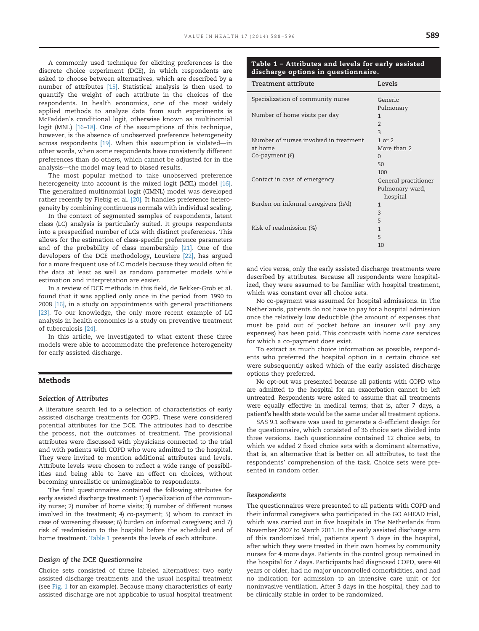A commonly used technique for eliciting preferences is the discrete choice experiment (DCE), in which respondents are asked to choose between alternatives, which are described by a number of attributes [15]. Statistical analysis is then used to quantify the weight of each attribute in the choices of the respondents. In health economics, one of the most widely applied methods to analyze data from such experiments is McFadden's conditional logit, otherwise known as multinomial logit (MNL) [16–18]. One of the assumptions of this technique, however, is the absence of unobserved preference heterogeneity across respondents [19]. When this assumption is violated—in other words, when some respondents have consistently different preferences than do others, which cannot be adjusted for in the analysis—the model may lead to biased results.

The most popular method to take unobserved preference heterogeneity into account is the mixed logit (MXL) model [16]. The generalized multinomial logit (GMNL) model was developed rather recently by Fiebig et al. [20]. It handles preference heterogeneity by combining continuous normals with individual scaling.

In the context of segmented samples of respondents, latent class (LC) analysis is particularly suited. It groups respondents into a prespecified number of LCs with distinct preferences. This allows for the estimation of class-specific preference parameters and of the probability of class membership [21]. One of the developers of the DCE methodology, Louviere [22], has argued for a more frequent use of LC models because they would often fit the data at least as well as random parameter models while estimation and interpretation are easier.

In a review of DCE methods in this field, de Bekker-Grob et al. found that it was applied only once in the period from 1990 to 2008 [16], in a study on appointments with general practitioners [23]. To our knowledge, the only more recent example of LC analysis in health economics is a study on preventive treatment of tuberculosis [24].

In this article, we investigated to what extent these three models were able to accommodate the preference heterogeneity for early assisted discharge.

### Methods

### Selection of Attributes

A literature search led to a selection of characteristics of early assisted discharge treatments for COPD. These were considered potential attributes for the DCE. The attributes had to describe the process, not the outcomes of treatment. The provisional attributes were discussed with physicians connected to the trial and with patients with COPD who were admitted to the hospital. They were invited to mention additional attributes and levels. Attribute levels were chosen to reflect a wide range of possibilities and being able to have an effect on choices, without becoming unrealistic or unimaginable to respondents.

The final questionnaires contained the following attributes for early assisted discharge treatment: 1) specialization of the community nurse; 2) number of home visits; 3) number of different nurses involved in the treatment; 4) co-payment; 5) whom to contact in case of worsening disease; 6) burden on informal caregivers; and 7) risk of readmission to the hospital before the scheduled end of home treatment. Table 1 presents the levels of each attribute.

### Design of the DCE Questionnaire

Choice sets consisted of three labeled alternatives: two early assisted discharge treatments and the usual hospital treatment (see Fig. 1 for an example). Because many characteristics of early assisted discharge are not applicable to usual hospital treatment

# Table 1 – Attributes and levels for early assisted discharge options in questionnaire.

| Treatment attribute                    | Levels               |
|----------------------------------------|----------------------|
| Specialization of community nurse      | Generic              |
|                                        | Pulmonary            |
| Number of home visits per day          | 1                    |
|                                        | 2                    |
|                                        | $\mathcal{L}$        |
| Number of nurses involved in treatment | $1$ or $2$           |
| at home                                | More than 2          |
| Co-payment $(\epsilon)$                | $\Omega$             |
|                                        | 50                   |
|                                        | 100                  |
| Contact in case of emergency           | General practitioner |
|                                        | Pulmonary ward,      |
|                                        | hospital             |
| Burden on informal caregivers (h/d)    | 1                    |
|                                        | 3                    |
|                                        | 5                    |
| Risk of readmission (%)                | 1                    |
|                                        | 5                    |
|                                        | 10                   |

and vice versa, only the early assisted discharge treatments were described by attributes. Because all respondents were hospitalized, they were assumed to be familiar with hospital treatment, which was constant over all choice sets.

No co-payment was assumed for hospital admissions. In The Netherlands, patients do not have to pay for a hospital admission once the relatively low deductible (the amount of expenses that must be paid out of pocket before an insurer will pay any expenses) has been paid. This contrasts with home care services for which a co-payment does exist.

To extract as much choice information as possible, respondents who preferred the hospital option in a certain choice set were subsequently asked which of the early assisted discharge options they preferred.

No opt-out was presented because all patients with COPD who are admitted to the hospital for an exacerbation cannot be left untreated. Respondents were asked to assume that all treatments were equally effective in medical terms; that is, after 7 days, a patient's health state would be the same under all treatment options.

SAS 9.1 software was used to generate a d-efficient design for the questionnaire, which consisted of 36 choice sets divided into three versions. Each questionnaire contained 12 choice sets, to which we added 2 fixed choice sets with a dominant alternative, that is, an alternative that is better on all attributes, to test the respondents' comprehension of the task. Choice sets were presented in random order.

### Respondents

The questionnaires were presented to all patients with COPD and their informal caregivers who participated in the GO AHEAD trial, which was carried out in five hospitals in The Netherlands from November 2007 to March 2011. In the early assisted discharge arm of this randomized trial, patients spent 3 days in the hospital, after which they were treated in their own homes by community nurses for 4 more days. Patients in the control group remained in the hospital for 7 days. Participants had diagnosed COPD, were 40 years or older, had no major uncontrolled comorbidities, and had no indication for admission to an intensive care unit or for noninvasive ventilation. After 3 days in the hospital, they had to be clinically stable in order to be randomized.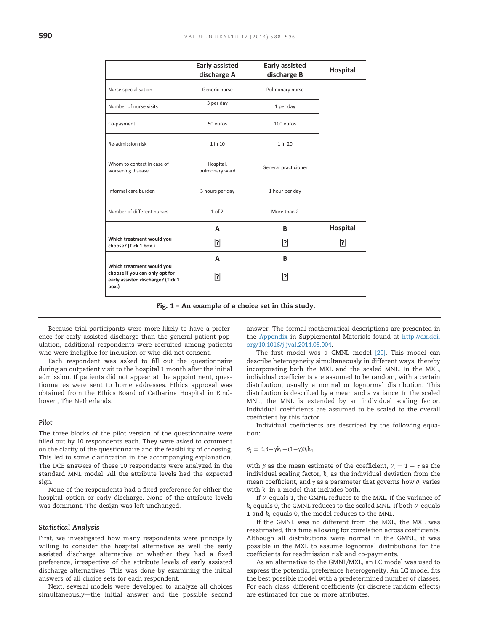|                                                                                                           | <b>Early assisted</b><br>discharge A | <b>Early assisted</b><br>discharge B | Hospital |
|-----------------------------------------------------------------------------------------------------------|--------------------------------------|--------------------------------------|----------|
| Nurse specialisation                                                                                      | Generic nurse                        | Pulmonary nurse                      |          |
| Number of nurse visits                                                                                    | 3 per day                            | 1 per day                            |          |
| Co-payment                                                                                                | 50 euros                             | 100 euros                            |          |
| Re-admission risk                                                                                         | 1 in 10                              | 1 in 20                              |          |
| Whom to contact in case of<br>worsening disease                                                           | Hospital,<br>pulmonary ward          | General practicioner                 |          |
| Informal care burden                                                                                      | 3 hours per day                      | 1 hour per day                       |          |
| Number of different nurses                                                                                | $1$ of $2$                           | More than 2                          |          |
|                                                                                                           | A                                    | B                                    | Hospital |
| Which treatment would you<br>choose? (Tick 1 box.)                                                        | ?                                    | ?                                    | ₽        |
|                                                                                                           | A                                    | B                                    |          |
| Which treatment would you<br>choose if you can only opt for<br>early assisted discharge? (Tick 1<br>box.) | ₽                                    | ?                                    |          |

Fig. 1 – An example of a choice set in this study.

Because trial participants were more likely to have a preference for early assisted discharge than the general patient population, additional respondents were recruited among patients who were ineligible for inclusion or who did not consent.

Each respondent was asked to fill out the questionnaire during an outpatient visit to the hospital 1 month after the initial admission. If patients did not appear at the appointment, questionnaires were sent to home addresses. Ethics approval was obtained from the Ethics Board of Catharina Hospital in Eindhoven, The Netherlands.

### Pilot

The three blocks of the pilot version of the questionnaire were filled out by 10 respondents each. They were asked to comment on the clarity of the questionnaire and the feasibility of choosing. This led to some clarification in the accompanying explanation. The DCE answers of these 10 respondents were analyzed in the standard MNL model. All the attribute levels had the expected sign.

None of the respondents had a fixed preference for either the hospital option or early discharge. None of the attribute levels was dominant. The design was left unchanged.

### Statistical Analysis

First, we investigated how many respondents were principally willing to consider the hospital alternative as well the early assisted discharge alternative or whether they had a fixed preference, irrespective of the attribute levels of early assisted discharge alternatives. This was done by examining the initial answers of all choice sets for each respondent.

Next, several models were developed to analyze all choices simultaneously—the initial answer and the possible second answer. The formal mathematical descriptions are presented in the Appendix in Supplemental Materials found at [http://dx.doi.](http://dx.doi.org/10.1016/j.jval.2014.05.004) [org/10.1016/j.jval.2014.05.004](http://dx.doi.org/10.1016/j.jval.2014.05.004).

The first model was a GMNL model [20]. This model can describe heterogeneity simultaneously in different ways, thereby incorporating both the MXL and the scaled MNL. In the MXL, individual coefficients are assumed to be random, with a certain distribution, usually a normal or lognormal distribution. This distribution is described by a mean and a variance. In the scaled MNL, the MNL is extended by an individual scaling factor. Individual coefficients are assumed to be scaled to the overall coefficient by this factor.

Individual coefficients are described by the following equation:

$$
\beta_i = \theta_i \beta + \gamma k_i + (1-\gamma)\theta_i k_1
$$

with  $\beta$  as the mean estimate of the coefficient,  $\theta_i = 1 + \tau$  as the individual scaling factor,  $k_i$  as the individual deviation from the mean coefficient, and  $\gamma$  as a parameter that governs how  $\theta_i$  varies with  $k_i$  in a model that includes both.

If  $\theta$ <sub>i</sub> equals 1, the GMNL reduces to the MXL. If the variance of  $k_i$  equals 0, the GMNL reduces to the scaled MNL. If both  $\theta_i$  equals 1 and  $k_i$  equals 0, the model reduces to the MNL.

If the GMNL was no different from the MXL, the MXL was reestimated, this time allowing for correlation across coefficients. Although all distributions were normal in the GMNL, it was possible in the MXL to assume lognormal distributions for the coefficients for readmission risk and co-payments.

As an alternative to the GMNL/MXL, an LC model was used to express the potential preference heterogeneity. An LC model fits the best possible model with a predetermined number of classes. For each class, different coefficients (or discrete random effects) are estimated for one or more attributes.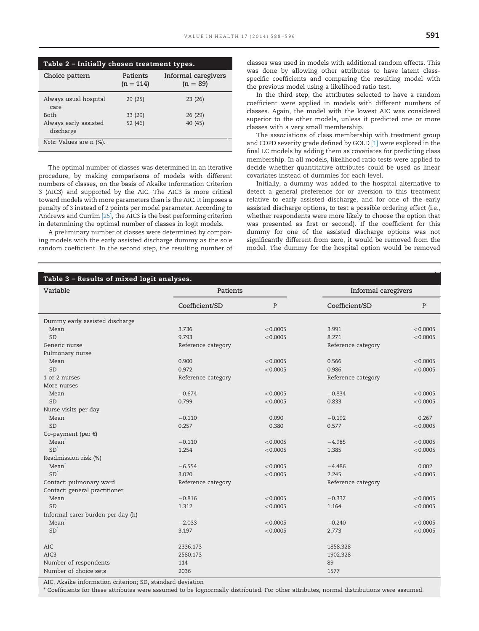| Table 2 - Initially chosen treatment types. |                         |                                   |  |  |  |  |
|---------------------------------------------|-------------------------|-----------------------------------|--|--|--|--|
| Choice pattern                              | Patients<br>$(n = 114)$ | Informal caregivers<br>$(n = 89)$ |  |  |  |  |
| Always usual hospital<br>care               | 29(25)                  | 23(26)                            |  |  |  |  |
| <b>Both</b>                                 | 33 (29)                 | 26(29)                            |  |  |  |  |
| Always early assisted<br>discharge          | 52 (46)                 | 40 (45)                           |  |  |  |  |
| Note: Values are n (%).                     |                         |                                   |  |  |  |  |

The optimal number of classes was determined in an iterative procedure, by making comparisons of models with different numbers of classes, on the basis of Akaike Information Criterion 3 (AIC3) and supported by the AIC. The AIC3 is more critical toward models with more parameters than is the AIC. It imposes a penalty of 3 instead of 2 points per model parameter. According to Andrews and Currim [25], the AIC3 is the best performing criterion in determining the optimal number of classes in logit models.

A preliminary number of classes were determined by comparing models with the early assisted discharge dummy as the sole random coefficient. In the second step, the resulting number of

classes was used in models with additional random effects. This was done by allowing other attributes to have latent classspecific coefficients and comparing the resulting model with the previous model using a likelihood ratio test.

In the third step, the attributes selected to have a random coefficient were applied in models with different numbers of classes. Again, the model with the lowest AIC was considered superior to the other models, unless it predicted one or more classes with a very small membership.

The associations of class membership with treatment group and COPD severity grade defined by GOLD [1] were explored in the final LC models by adding them as covariates for predicting class membership. In all models, likelihood ratio tests were applied to decide whether quantitative attributes could be used as linear covariates instead of dummies for each level.

Initially, a dummy was added to the hospital alternative to detect a general preference for or aversion to this treatment relative to early assisted discharge, and for one of the early assisted discharge options, to test a possible ordering effect (i.e., whether respondents were more likely to choose the option that was presented as first or second). If the coefficient for this dummy for one of the assisted discharge options was not significantly different from zero, it would be removed from the model. The dummy for the hospital option would be removed

| Table 3 - Results of mixed logit analyses. |                    |             |                     |             |  |  |
|--------------------------------------------|--------------------|-------------|---------------------|-------------|--|--|
| Variable                                   | Patients           |             | Informal caregivers |             |  |  |
|                                            | Coefficient/SD     | $\mathbf P$ | Coefficient/SD      | $\mathbf P$ |  |  |
| Dummy early assisted discharge             |                    |             |                     |             |  |  |
| Mean                                       | 3.736              | < 0.0005    | 3.991               | < 0.0005    |  |  |
| <b>SD</b>                                  | 9.793              | < 0.0005    | 8.271               | < 0.0005    |  |  |
| Generic nurse                              | Reference category |             | Reference category  |             |  |  |
| Pulmonary nurse                            |                    |             |                     |             |  |  |
| Mean                                       | 0.900              | < 0.0005    | 0.566               | < 0.0005    |  |  |
| <b>SD</b>                                  | 0.972              | < 0.0005    | 0.986               | < 0.0005    |  |  |
| 1 or 2 nurses                              | Reference category |             | Reference category  |             |  |  |
| More nurses                                |                    |             |                     |             |  |  |
| Mean                                       | $-0.674$           | < 0.0005    | $-0.834$            | < 0.0005    |  |  |
| <b>SD</b>                                  | 0.799              | < 0.0005    | 0.833               | < 0.0005    |  |  |
| Nurse visits per day                       |                    |             |                     |             |  |  |
| Mean                                       | $-0.110$           | 0.090       | $-0.192$            | 0.267       |  |  |
| SD                                         | 0.257              | 0.380       | 0.577               | < 0.0005    |  |  |
| Co-payment (per $\epsilon$ )               |                    |             |                     |             |  |  |
| Mean                                       | $-0.110$           | < 0.0005    | $-4.985$            | < 0.0005    |  |  |
| $SD^*$                                     | 1.254              | < 0.0005    | 1.385               | < 0.0005    |  |  |
| Readmission risk (%)                       |                    |             |                     |             |  |  |
| Mean <sup>'</sup>                          | $-6.554$           | < 0.0005    | $-4.486$            | 0.002       |  |  |
| $SD^*$                                     | 3.020              | < 0.0005    | 2.245               | < 0.0005    |  |  |
| Contact: pulmonary ward                    | Reference category |             | Reference category  |             |  |  |
| Contact: general practitioner              |                    |             |                     |             |  |  |
| Mean                                       | $-0.816$           | < 0.0005    | $-0.337$            | < 0.0005    |  |  |
| <b>SD</b>                                  | 1.312              | < 0.0005    | 1.164               | < 0.0005    |  |  |
| Informal carer burden per day (h)          |                    |             |                     |             |  |  |
| Mean                                       | $-2.033$           | < 0.0005    | $-0.240$            | < 0.0005    |  |  |
| SD                                         | 3.197              | < 0.0005    | 2.773               | < 0.0005    |  |  |
| <b>AIC</b>                                 | 2336.173           |             | 1858.328            |             |  |  |
| AIC <sub>3</sub>                           | 2580.173           |             | 1902.328            |             |  |  |
| Number of respondents                      | 114                |             | 89                  |             |  |  |
| Number of choice sets                      | 2036               |             | 1577                |             |  |  |

AIC, Akaike information criterion; SD, standard deviation

\* Coefficients for these attributes were assumed to be lognormally distributed. For other attributes, normal distributions were assumed.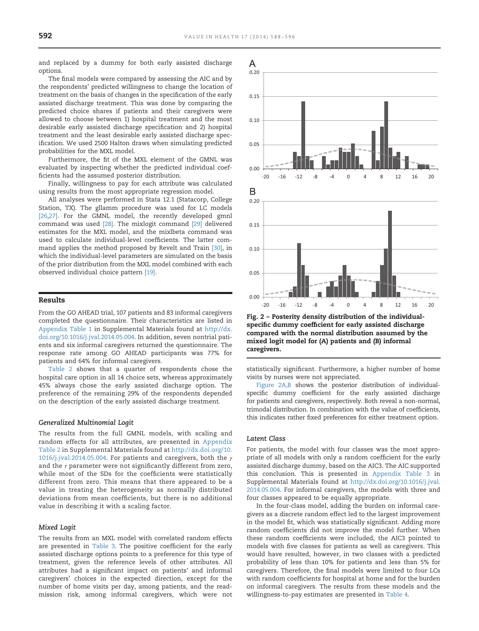and replaced by a dummy for both early assisted discharge options.

The final models were compared by assessing the AIC and by the respondents' predicted willingness to change the location of treatment on the basis of changes in the specification of the early assisted discharge treatment. This was done by comparing the predicted choice shares if patients and their caregivers were allowed to choose between 1) hospital treatment and the most desirable early assisted discharge specification and 2) hospital treatment and the least desirable early assisted discharge specification. We used 2500 Halton draws when simulating predicted probabilities for the MXL model.

Furthermore, the fit of the MXL element of the GMNL was evaluated by inspecting whether the predicted individual coefficients had the assumed posterior distribution.

Finally, willingness to pay for each attribute was calculated using results from the most appropriate regression model.

All analyses were performed in Stata 12.1 (Statacorp, College Station, TX). The gllamm procedure was used for LC models [26,27]. For the GMNL model, the recently developed gmnl command was used [28]. The mixlogit command [29] delivered estimates for the MXL model, and the mixlbeta command was used to calculate individual-level coefficients. The latter command applies the method proposed by Revelt and Train [30], in which the individual-level parameters are simulated on the basis of the prior distribution from the MXL model combined with each observed individual choice pattern [19].

# Results

From the GO AHEAD trial, 107 patients and 83 informal caregivers completed the questionnaire. Their characteristics are listed in Appendix Table 1 in Supplemental Materials found at [http://dx.](http://dx.doi.org/10.1016/j.jval.2014.05.004) [doi.org/10.1016/j.jval.2014.05.004.](http://dx.doi.org/10.1016/j.jval.2014.05.004) In addition, seven nontrial patients and six informal caregivers returned the questionnaire. The response rate among GO AHEAD participants was 77% for patients and 64% for informal caregivers.

Table 2 shows that a quarter of respondents chose the hospital care option in all 14 choice sets, whereas approximately 45% always chose the early assisted discharge option. The preference of the remaining 29% of the respondents depended on the description of the early assisted discharge treatment.

## Generalized Multinomial Logit

The results from the full GMNL models, with scaling and random effects for all attributes, are presented in Appendix Table 2 in Supplemental Materials found at [http://dx.doi.org/10.](http://dx.doi.org/10.1016/j.jval.2014.05.004) [1016/j.jval.2014.05.004.](http://dx.doi.org/10.1016/j.jval.2014.05.004) For patients and caregivers, both the  $\gamma$ and the  $\tau$  parameter were not significantly different from zero, while most of the SDs for the coefficients were statistically different from zero. This means that there appeared to be a value in treating the heterogeneity as normally distributed deviations from mean coefficients, but there is no additional value in describing it with a scaling factor.

### Mixed Logit

The results from an MXL model with correlated random effects are presented in Table 3. The positive coefficient for the early assisted discharge options points to a preference for this type of treatment, given the reference levels of other attributes. All attributes had a significant impact on patients' and informal caregivers' choices in the expected direction, except for the number of home visits per day, among patients, and the readmission risk, among informal caregivers, which were not



Fig. 2 – Posterity density distribution of the individualspecific dummy coefficient for early assisted discharge compared with the normal distribution assumed by the mixed logit model for (A) patients and (B) informal caregivers.

statistically significant. Furthermore, a higher number of home visits by nurses were not appreciated.

Figure 2A,B shows the posterior distribution of individualspecific dummy coefficient for the early assisted discharge for patients and caregivers, respectively. Both reveal a non-normal, trimodal distribution. In combination with the value of coefficients, this indicates rather fixed preferences for either treatment option.

#### Latent Class

For patients, the model with four classes was the most appropriate of all models with only a random coefficient for the early assisted discharge dummy, based on the AIC3. The AIC supported this conclusion. This is presented in Appendix Table 3 in Supplemental Materials found at [http://dx.doi.org/10.1016/j.jval.](http://dx.doi.org/10.1016/j.jval.2014.05.004) [2014.05.004](http://dx.doi.org/10.1016/j.jval.2014.05.004). For informal caregivers, the models with three and four classes appeared to be equally appropriate.

In the four-class model, adding the burden on informal caregivers as a discrete random effect led to the largest improvement in the model fit, which was statistically significant. Adding more random coefficients did not improve the model further. When these random coefficients were included, the AIC3 pointed to models with five classes for patients as well as caregivers. This would have resulted, however, in two classes with a predicted probability of less than 10% for patients and less than 5% for caregivers. Therefore, the final models were limited to four LCs with random coefficients for hospital at home and for the burden on informal caregivers. The results from these models and the willingness-to-pay estimates are presented in Table 4.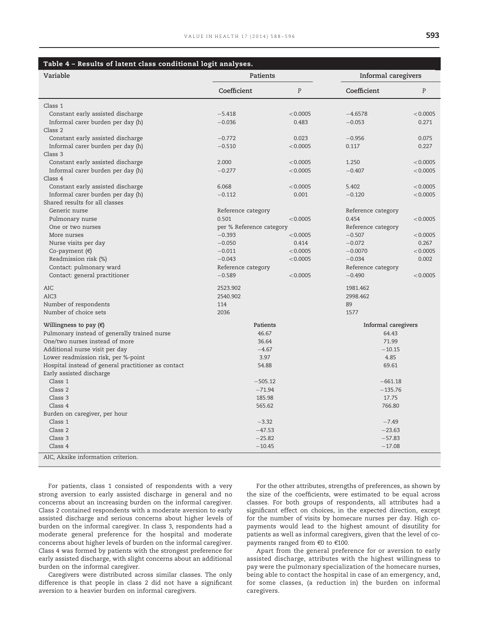## Table 4 – Results of latent class conditional logit analyses.

| Variable                                            | Patients                 |           | Informal caregivers |             |
|-----------------------------------------------------|--------------------------|-----------|---------------------|-------------|
|                                                     | Coefficient              | ${\bf P}$ | Coefficient         | $\mathbf P$ |
| Class 1                                             |                          |           |                     |             |
| Constant early assisted discharge                   | $-5.418$                 | < 0.0005  | $-4.6578$           | < 0.0005    |
| Informal carer burden per day (h)                   | $-0.036$                 | 0.483     | $-0.053$            | 0.271       |
| Class 2                                             |                          |           |                     |             |
| Constant early assisted discharge                   | $-0.772$                 | 0.023     | $-0.956$            | 0.075       |
| Informal carer burden per day (h)                   | $-0.510$                 | < 0.0005  | 0.117               | 0.227       |
| Class 3                                             |                          |           |                     |             |
| Constant early assisted discharge                   | 2.000                    | < 0.0005  | 1.250               | < 0.0005    |
| Informal carer burden per day (h)                   | $-0.277$                 | < 0.0005  | $-0.407$            | < 0.0005    |
| Class 4                                             |                          |           |                     |             |
| Constant early assisted discharge                   | 6.068                    | < 0.0005  | 5.402               | < 0.0005    |
| Informal carer burden per day (h)                   | $-0.112$                 | 0.001     | $-0.120$            | < 0.0005    |
| Shared results for all classes                      |                          |           |                     |             |
| Generic nurse                                       | Reference category       |           | Reference category  |             |
| Pulmonary nurse                                     | 0.501                    | < 0.0005  | 0.454               | < 0.0005    |
| One or two nurses                                   | per % Reference category |           | Reference category  |             |
| More nurses                                         | $-0.393$                 | < 0.0005  | $-0.507$            | < 0.0005    |
| Nurse visits per day                                | $-0.050$                 | 0.414     | $-0.072$            | 0.267       |
| Co-payment $(\epsilon)$                             | $-0.011$                 | < 0.0005  | $-0.0070$           | < 0.0005    |
| Readmission risk (%)                                | $-0.043$                 | < 0.0005  | $-0.034$            | 0.002       |
| Contact: pulmonary ward                             | Reference category       |           | Reference category  |             |
| Contact: general practitioner                       | $-0.589$                 | < 0.0005  | $-0.490$            | < 0.0005    |
| AIC                                                 | 2523.902                 |           | 1981.462            |             |
| AIC <sub>3</sub>                                    | 2540.902                 |           | 2998.462            |             |
| Number of respondents                               | 114                      |           | 89                  |             |
| Number of choice sets                               | 2036                     |           | 1577                |             |
| Willingness to pay $(\epsilon)$                     | Patients                 |           | Informal caregivers |             |
| Pulmonary instead of generally trained nurse        | 46.67                    |           | 64.43               |             |
| One/two nurses instead of more                      | 36.64                    |           | 71.99               |             |
| Additional nurse visit per day                      | $-4.67$                  |           | $-10.15$            |             |
| Lower readmission risk, per %-point                 | 3.97                     |           | 4.85                |             |
| Hospital instead of general practitioner as contact | 54.88                    |           | 69.61               |             |
| Early assisted discharge                            |                          |           |                     |             |
| Class 1                                             | $-505.12$                |           | $-661.18$           |             |
| Class 2                                             | $-71.94$                 |           | $-135.76$           |             |
| Class 3                                             | 185.98                   |           | 17.75               |             |
| Class 4                                             | 565.62                   |           | 766.80              |             |
| Burden on caregiver, per hour                       |                          |           |                     |             |
| Class 1                                             | $-3.32$                  |           | $-7.49$             |             |
| Class 2                                             | $-47.53$                 |           | $-23.63$            |             |
| Class 3                                             | $-25.82$                 |           | $-57.83$            |             |
| Class 4                                             | $-10.45$                 |           | $-17.08$            |             |
| AIC, Akaike information criterion.                  |                          |           |                     |             |

For patients, class 1 consisted of respondents with a very strong aversion to early assisted discharge in general and no concerns about an increasing burden on the informal caregiver. Class 2 contained respondents with a moderate aversion to early assisted discharge and serious concerns about higher levels of burden on the informal caregiver. In class 3, respondents had a moderate general preference for the hospital and moderate concerns about higher levels of burden on the informal caregiver. Class 4 was formed by patients with the strongest preference for early assisted discharge, with slight concerns about an additional burden on the informal caregiver.

Caregivers were distributed across similar classes. The only difference is that people in class 2 did not have a significant aversion to a heavier burden on informal caregivers.

For the other attributes, strengths of preferences, as shown by the size of the coefficients, were estimated to be equal across classes. For both groups of respondents, all attributes had a significant effect on choices, in the expected direction, except for the number of visits by homecare nurses per day. High copayments would lead to the highest amount of disutility for patients as well as informal caregivers, given that the level of copayments ranged from €0 to €100.

Apart from the general preference for or aversion to early assisted discharge, attributes with the highest willingness to pay were the pulmonary specialization of the homecare nurses, being able to contact the hospital in case of an emergency, and, for some classes, (a reduction in) the burden on informal caregivers.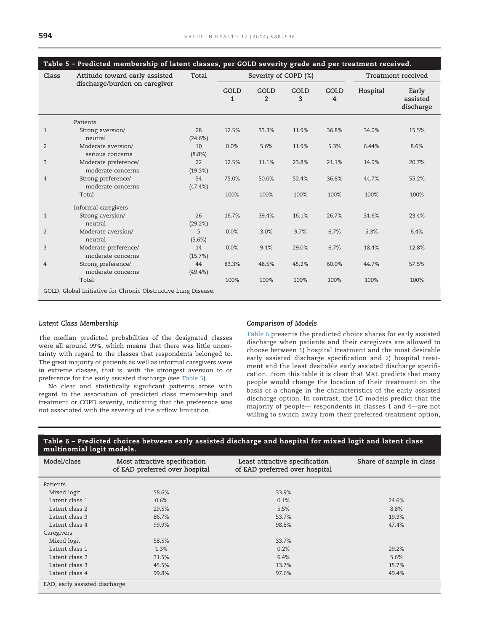| Table 5 - Predicted membership of latent classes, per GOLD severity grade and per treatment received. |                                                               |                  |                      |                        |           |                    |          |                                |
|-------------------------------------------------------------------------------------------------------|---------------------------------------------------------------|------------------|----------------------|------------------------|-----------|--------------------|----------|--------------------------------|
| Class                                                                                                 | Attitude toward early assisted                                | Total            | Severity of COPD (%) |                        |           | Treatment received |          |                                |
|                                                                                                       | discharge/burden on caregiver                                 |                  | GOLD<br>$\mathbf{1}$ | GOLD<br>$\overline{2}$ | GOLD<br>3 | GOLD<br>4          | Hospital | Early<br>assisted<br>discharge |
|                                                                                                       | Patients                                                      |                  |                      |                        |           |                    |          |                                |
| $\mathbf{1}$                                                                                          | Strong aversion/<br>neutral                                   | 28<br>(24.6%)    | 12.5%                | 33.3%                  | 11.9%     | 36.8%              | 34.0%    | 15.5%                          |
| 2                                                                                                     | Moderate aversion/<br>serious concerns                        | 10<br>$(8.8\%)$  | 0.0%                 | 5.6%                   | 11.9%     | 5.3%               | 6.44%    | 8.6%                           |
| 3                                                                                                     | Moderate preference/<br>moderate concerns                     | 22<br>(19.3%)    | 12.5%                | 11.1%                  | 23.8%     | 21.1%              | 14.9%    | 20.7%                          |
| $\overline{4}$                                                                                        | Strong preference/<br>moderate concerns                       | 54<br>(47.4%)    | 75.0%                | 50.0%                  | 52.4%     | 36.8%              | 44.7%    | 55.2%                          |
|                                                                                                       | Total                                                         |                  | 100%                 | 100%                   | 100%      | 100%               | 100%     | 100%                           |
|                                                                                                       | Informal caregivers                                           |                  |                      |                        |           |                    |          |                                |
| $\mathbf{1}$                                                                                          | Strong aversion/<br>neutral                                   | 26<br>(29.2%)    | 16.7%                | 39.4%                  | 16.1%     | 26.7%              | 31.6%    | 23.4%                          |
| $\overline{2}$                                                                                        | Moderate aversion/<br>neutral                                 | 5<br>$(5.6\%)$   | 0.0%                 | 3.0%                   | 9.7%      | 6.7%               | 5.3%     | 6.4%                           |
| 3                                                                                                     | Moderate preference/<br>moderate concerns                     | 14<br>(15.7%)    | 0.0%                 | 9.1%                   | 29.0%     | 6.7%               | 18.4%    | 12.8%                          |
| $\overline{4}$                                                                                        | Strong preference/<br>moderate concerns                       | 44<br>$(49.4\%)$ | 83.3%                | 48.5%                  | 45.2%     | 60.0%              | 44.7%    | 57.5%                          |
|                                                                                                       | Total                                                         |                  | 100%                 | 100%                   | 100%      | 100%               | 100%     | 100%                           |
|                                                                                                       | GOLD, Global Initiative for Chronic Obstructive Lung Disease. |                  |                      |                        |           |                    |          |                                |

# Latent Class Membership

The median predicted probabilities of the designated classes were all around 99%, which means that there was little uncertainty with regard to the classes that respondents belonged to. The great majority of patients as well as informal caregivers were in extreme classes, that is, with the strongest aversion to or preference for the early assisted discharge (see Table 5).

No clear and statistically significant patterns arose with regard to the association of predicted class membership and treatment or COPD severity, indicating that the preference was not associated with the severity of the airflow limitation.

### Comparison of Models

Table 6 presents the predicted choice shares for early assisted discharge when patients and their caregivers are allowed to choose between 1) hospital treatment and the most desirable early assisted discharge specification and 2) hospital treatment and the least desirable early assisted discharge specification. From this table it is clear that MXL predicts that many people would change the location of their treatment on the basis of a change in the characteristics of the early assisted discharge option. In contrast, the LC models predict that the majority of people— respondents in classes 1 and 4—are not willing to switch away from their preferred treatment option,

| Table 6 – Predicted choices between early assisted discharge and hospital for mixed logit and latent class |  |
|------------------------------------------------------------------------------------------------------------|--|
| multinomial logit models.                                                                                  |  |

| Model/class                    | Most attractive specification<br>of EAD preferred over hospital | Least attractive specification<br>of EAD preferred over hospital | Share of sample in class |
|--------------------------------|-----------------------------------------------------------------|------------------------------------------------------------------|--------------------------|
| Patients                       |                                                                 |                                                                  |                          |
| Mixed logit                    | 58.6%                                                           | 33.9%                                                            |                          |
| Latent class 1                 | 0.6%                                                            | 0.1%                                                             | 24.6%                    |
| Latent class 2                 | 29.5%                                                           | 5.5%                                                             | 8.8%                     |
| Latent class 3                 | 86.7%                                                           | 53.7%                                                            | 19.3%                    |
| Latent class 4                 | 99.9%                                                           | 98.8%                                                            | 47.4%                    |
| Caregivers                     |                                                                 |                                                                  |                          |
| Mixed logit                    | 58.5%                                                           | 33.7%                                                            |                          |
| Latent class 1                 | 1.3%                                                            | 0.2%                                                             | 29.2%                    |
| Latent class 2                 | 31.5%                                                           | 6.4%                                                             | 5.6%                     |
| Latent class 3                 | 45.5%                                                           | 13.7%                                                            | 15.7%                    |
| Latent class 4                 | 99.8%                                                           | 97.6%                                                            | 49.4%                    |
| EAD, early assisted discharge. |                                                                 |                                                                  |                          |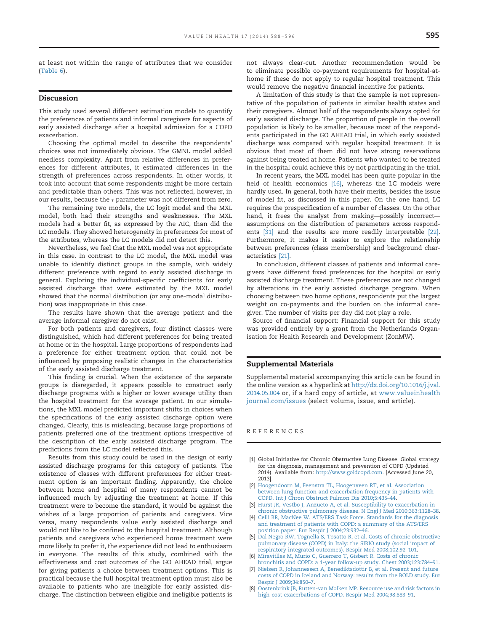at least not within the range of attributes that we consider (Table 6).

### Discussion

This study used several different estimation models to quantify the preferences of patients and informal caregivers for aspects of early assisted discharge after a hospital admission for a COPD exacerbation.

Choosing the optimal model to describe the respondents' choices was not immediately obvious. The GMNL model added needless complexity. Apart from relative differences in preferences for different attributes, it estimated differences in the strength of preferences across respondents. In other words, it took into account that some respondents might be more certain and predictable than others. This was not reflected, however, in our results, because the  $\tau$  parameter was not different from zero.

The remaining two models, the LC logit model and the MXL model, both had their strengths and weaknesses. The MXL models had a better fit, as expressed by the AIC, than did the LC models. They showed heterogeneity in preferences for most of the attributes, whereas the LC models did not detect this.

Nevertheless, we feel that the MXL model was not appropriate in this case. In contrast to the LC model, the MXL model was unable to identify distinct groups in the sample, with widely different preference with regard to early assisted discharge in general. Exploring the individual-specific coefficients for early assisted discharge that were estimated by the MXL model showed that the normal distribution (or any one-modal distribution) was inappropriate in this case.

The results have shown that the average patient and the average informal caregiver do not exist.

For both patients and caregivers, four distinct classes were distinguished, which had different preferences for being treated at home or in the hospital. Large proportions of respondents had a preference for either treatment option that could not be influenced by proposing realistic changes in the characteristics of the early assisted discharge treatment.

This finding is crucial. When the existence of the separate groups is disregarded, it appears possible to construct early discharge programs with a higher or lower average utility than the hospital treatment for the average patient. In our simulations, the MXL model predicted important shifts in choices when the specifications of the early assisted discharge option were changed. Clearly, this is misleading, because large proportions of patients preferred one of the treatment options irrespective of the description of the early assisted discharge program. The predictions from the LC model reflected this.

Results from this study could be used in the design of early assisted discharge programs for this category of patients. The existence of classes with different preferences for either treatment option is an important finding. Apparently, the choice between home and hospital of many respondents cannot be influenced much by adjusting the treatment at home. If this treatment were to become the standard, it would be against the wishes of a large proportion of patients and caregivers. Vice versa, many respondents value early assisted discharge and would not like to be confined to the hospital treatment. Although patients and caregivers who experienced home treatment were more likely to prefer it, the experience did not lead to enthusiasm in everyone. The results of this study, combined with the effectiveness and cost outcomes of the GO AHEAD trial, argue for giving patients a choice between treatment options. This is practical because the full hospital treatment option must also be available to patients who are ineligible for early assisted discharge. The distinction between eligible and ineligible patients is

not always clear-cut. Another recommendation would be to eliminate possible co-payment requirements for hospital-athome if these do not apply to regular hospital treatment. This would remove the negative financial incentive for patients.

A limitation of this study is that the sample is not representative of the population of patients in similar health states and their caregivers. Almost half of the respondents always opted for early assisted discharge. The proportion of people in the overall population is likely to be smaller, because most of the respondents participated in the GO AHEAD trial, in which early assisted discharge was compared with regular hospital treatment. It is obvious that most of them did not have strong reservations against being treated at home. Patients who wanted to be treated in the hospital could achieve this by not participating in the trial.

In recent years, the MXL model has been quite popular in the field of health economics [16], whereas the LC models were hardly used. In general, both have their merits, besides the issue of model fit, as discussed in this paper. On the one hand, LC requires the prespecification of a number of classes. On the other hand, it frees the analyst from making—possibly incorrect assumptions on the distribution of parameters across respondents [31] and the results are more readily interpretable [22]. Furthermore, it makes it easier to explore the relationship between preferences (class membership) and background characteristics [21].

In conclusion, different classes of patients and informal caregivers have different fixed preferences for the hospital or early assisted discharge treatment. These preferences are not changed by alterations in the early assisted discharge program. When choosing between two home options, respondents put the largest weight on co-payments and the burden on the informal caregiver. The number of visits per day did not play a role.

Source of financial support: Financial support for this study was provided entirely by a grant from the Netherlands Organisation for Health Research and Development (ZonMW).

## Supplemental Materials

Supplemental material accompanying this article can be found in the online version as a hyperlink at [http://dx.doi.org/10.1016/j.jval.](http://dx.doi.org/10.1016/j.jval.2014.05.004) [2014.05.004](http://dx.doi.org/10.1016/j.jval.2014.05.004) or, if a hard copy of article, at [www.valueinhealth](www.valueinhealthjournal.com/issues) [journal.com/issues](www.valueinhealthjournal.com/issues) (select volume, issue, and article).

### REFERENCES

- [1] Global Initiative for Chronic Obstructive Lung Disease. Global strategy for the diagnosis, management and prevention of COPD (Updated 2014). Available from: <http://www.goldcopd.com>. [Accessed June 20, 2013].
- [2] [Hoogendoorn M, Feenstra TL, Hoogenveen RT, et al. Association](http://refhub.elsevier.com/S1098-3015(14)01847-6/sbref1) [between lung function and exacerbation frequency in patients with](http://refhub.elsevier.com/S1098-3015(14)01847-6/sbref1) [COPD. Int J Chron Obstruct Pulmon Dis 2010;5:435](http://refhub.elsevier.com/S1098-3015(14)01847-6/sbref1)–44.
- [3] [Hurst JR, Vestbo J, Anzueto A, et al. Susceptibility to exacerbation in](http://refhub.elsevier.com/S1098-3015(14)01847-6/sbref2) [chronic obstructive pulmonary disease. N Engl J Med 2010;363:1128](http://refhub.elsevier.com/S1098-3015(14)01847-6/sbref2)–38.
- [4] [Celli BR, MacNee W. ATS/ERS Task Force. Standards for the diagnosis](http://refhub.elsevier.com/S1098-3015(14)01847-6/sbref3) [and treatment of patients with COPD: a summary of the ATS/ERS](http://refhub.elsevier.com/S1098-3015(14)01847-6/sbref3) [position paper. Eur Respir J 2004;23:932](http://refhub.elsevier.com/S1098-3015(14)01847-6/sbref3)–46.
- [5] [Dal Negro RW, Tognella S, Tosatto R, et al. Costs of chronic obstructive](http://refhub.elsevier.com/S1098-3015(14)01847-6/sbref4) [pulmonary disease \(COPD\) in Italy: the SIRIO study \(social impact of](http://refhub.elsevier.com/S1098-3015(14)01847-6/sbref4) [respiratory integrated outcomes\). Respir Med 2008;102:92](http://refhub.elsevier.com/S1098-3015(14)01847-6/sbref4)–101.
- [6] [Miravitlles M, Murio C, Guerrero T, Gisbert R. Costs of chronic](http://refhub.elsevier.com/S1098-3015(14)01847-6/sbref5) [bronchitis and COPD: a 1-year follow-up study. Chest 2003;123:784](http://refhub.elsevier.com/S1098-3015(14)01847-6/sbref5)–91.
- [7] [Nielsen R, Johannessen A, Benediktsdottir B, et al. Present and future](http://refhub.elsevier.com/S1098-3015(14)01847-6/sbref6) [costs of COPD in Iceland and Norway: results from the BOLD study. Eur](http://refhub.elsevier.com/S1098-3015(14)01847-6/sbref6) [Respir J 2009;34:850](http://refhub.elsevier.com/S1098-3015(14)01847-6/sbref6)–7.
- [8] [Oostenbrink JB, Rutten-van Molken MP. Resource use and risk factors in](http://refhub.elsevier.com/S1098-3015(14)01847-6/sbref7) [high-cost exacerbations of COPD. Respir Med 2004;98:883](http://refhub.elsevier.com/S1098-3015(14)01847-6/sbref7)–91.